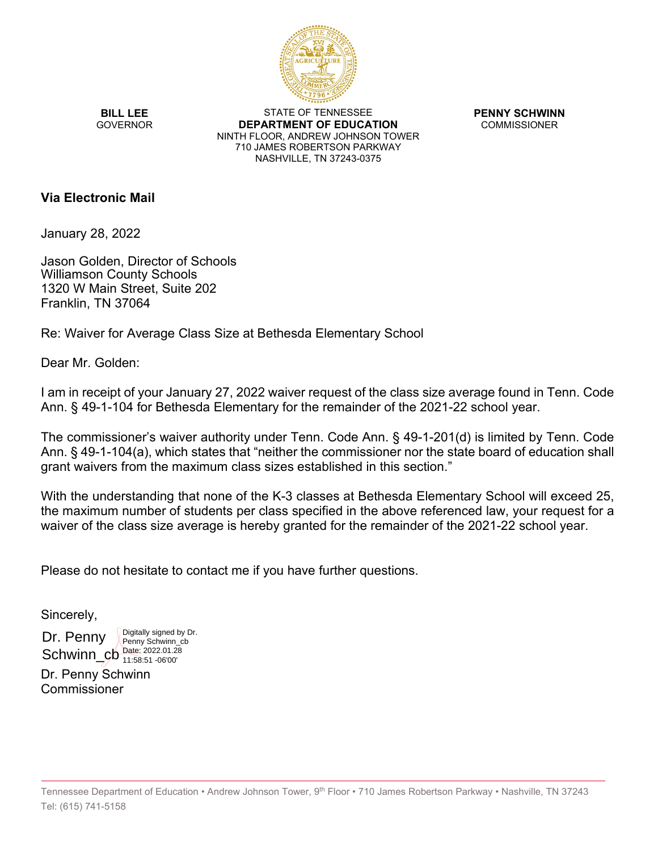

**BILL LEE GOVERNOR** 

STATE OF TENNESSEE **DEPARTMENT OF EDUCATION** NINTH FLOOR, ANDREW JOHNSON TOWER 710 JAMES ROBERTSON PARKWAY NASHVILLE, TN 37243-0375

**PENNY SCHWINN** COMMISSIONER

## **Via Electronic Mail**

January 28, 2022

Jason Golden, Director of Schools Williamson County Schools 1320 W Main Street, Suite 202 Franklin, TN 37064

Re: Waiver for Average Class Size at Bethesda Elementary School

Dear Mr. Golden:

I am in receipt of your January 27, 2022 waiver request of the class size average found in Tenn. Code Ann. § 49-1-104 for Bethesda Elementary for the remainder of the 2021-22 school year.

The commissioner's waiver authority under Tenn. Code Ann. § 49-1-201(d) is limited by Tenn. Code Ann. § 49-1-104(a), which states that "neither the commissioner nor the state board of education shall grant waivers from the maximum class sizes established in this section."

With the understanding that none of the K-3 classes at Bethesda Elementary School will exceed 25, the maximum number of students per class specified in the above referenced law, your request for a waiver of the class size average is hereby granted for the remainder of the 2021-22 school year.

Please do not hesitate to contact me if you have further questions.

Sincerely,

Dr. Penny Schwinn\_cb  $_{11.58:51.06'00'}^{Date: 2022.01.28}$ Digitally signed by Dr. Penny Schwinn\_cb 11:58:51 -06'00'

Dr. Penny Schwinn Commissioner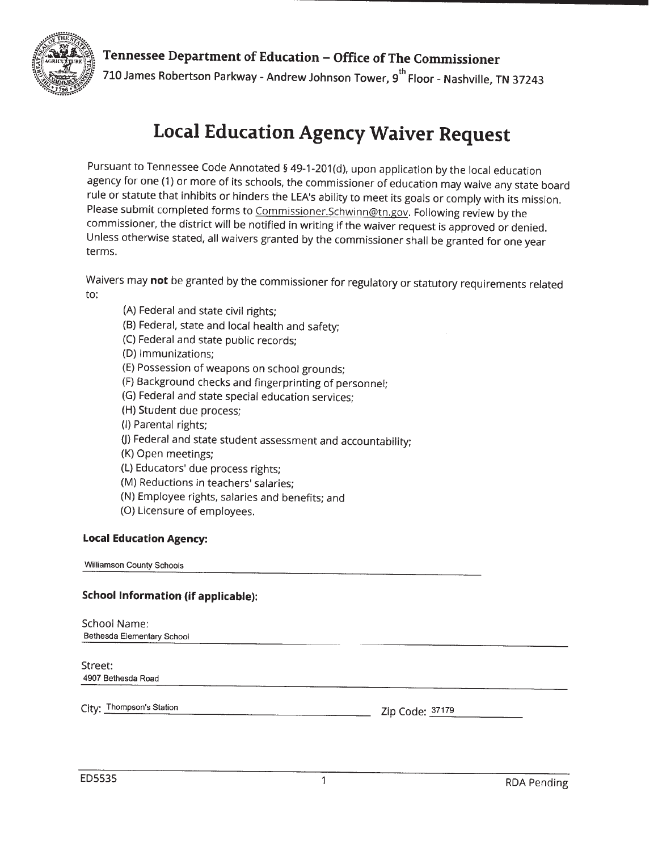

Tennessee Department of Education – Office of The Commissioner 710 James Robertson Parkway - Andrew Johnson Tower, 9<sup>th</sup> Floor - Nashville, TN 37243

## **Local Education Agency Waiver Request**

Pursuant to Tennessee Code Annotated § 49-1-201(d), upon application by the local education agency for one (1) or more of its schools, the commissioner of education may waive any state board rule or statute that inhibits or hinders the LEA's ability to meet its goals or comply with its mission. Please submit completed forms to Commissioner.Schwinn@tn.gov. Following review by the commissioner, the district will be notified in writing if the waiver request is approved or denied. Unless otherwise stated, all waivers granted by the commissioner shall be granted for one year terms.

Waivers may not be granted by the commissioner for regulatory or statutory requirements related to:

- (A) Federal and state civil rights;
- (B) Federal, state and local health and safety;
- (C) Federal and state public records;
- (D) Immunizations;
- (E) Possession of weapons on school grounds;
- (F) Background checks and fingerprinting of personnel;
- (G) Federal and state special education services;
- (H) Student due process;
- (I) Parental rights;
- (J) Federal and state student assessment and accountability;
- (K) Open meetings;
- (L) Educators' due process rights;
- (M) Reductions in teachers' salaries;
- (N) Employee rights, salaries and benefits; and
- (O) Licensure of employees.

## **Local Education Agency:**

Williamson County Schools

## **School Information (if applicable):**

| School Name:<br>Bethesda Elementary School |                 |
|--------------------------------------------|-----------------|
| Street:<br>4907 Bethesda Road              |                 |
| City: Thompson's Station                   | Zip Code: 37179 |